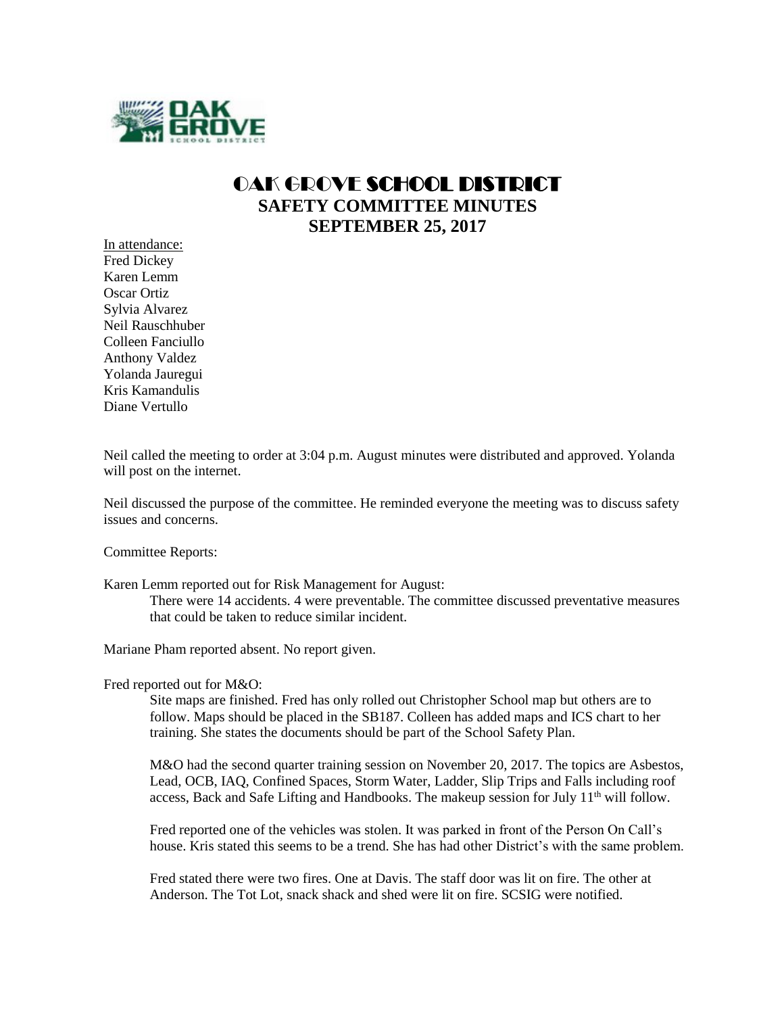

## OAK GROVE SCHOOL DISTRICT **SAFETY COMMITTEE MINUTES SEPTEMBER 25, 2017**

In attendance: Fred Dickey Karen Lemm Oscar Ortiz Sylvia Alvarez Neil Rauschhuber Colleen Fanciullo Anthony Valdez Yolanda Jauregui Kris Kamandulis Diane Vertullo

Neil called the meeting to order at 3:04 p.m. August minutes were distributed and approved. Yolanda will post on the internet.

Neil discussed the purpose of the committee. He reminded everyone the meeting was to discuss safety issues and concerns.

Committee Reports:

Karen Lemm reported out for Risk Management for August: There were 14 accidents. 4 were preventable. The committee discussed preventative measures that could be taken to reduce similar incident.

Mariane Pham reported absent. No report given.

Fred reported out for M&O:

Site maps are finished. Fred has only rolled out Christopher School map but others are to follow. Maps should be placed in the SB187. Colleen has added maps and ICS chart to her training. She states the documents should be part of the School Safety Plan.

M&O had the second quarter training session on November 20, 2017. The topics are Asbestos, Lead, OCB, IAQ, Confined Spaces, Storm Water, Ladder, Slip Trips and Falls including roof access, Back and Safe Lifting and Handbooks. The makeup session for July  $11<sup>th</sup>$  will follow.

Fred reported one of the vehicles was stolen. It was parked in front of the Person On Call's house. Kris stated this seems to be a trend. She has had other District's with the same problem.

Fred stated there were two fires. One at Davis. The staff door was lit on fire. The other at Anderson. The Tot Lot, snack shack and shed were lit on fire. SCSIG were notified.